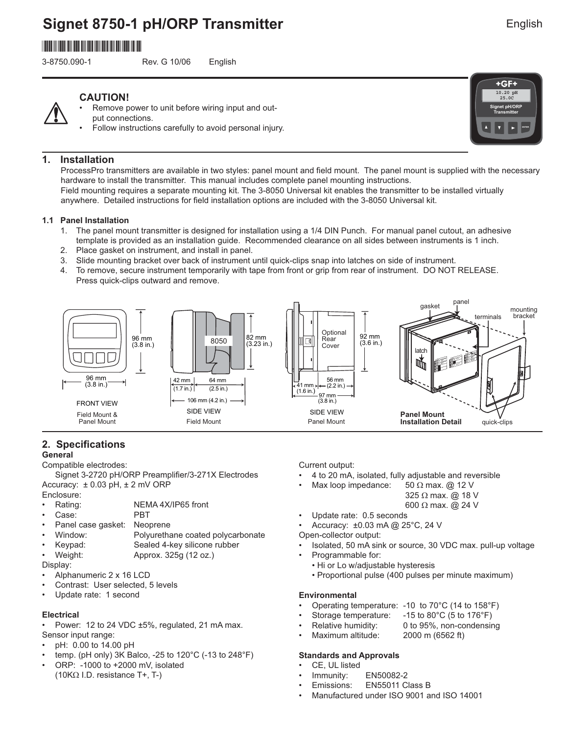# **Signet 8750-1 pH/ORP Transmitter**

# \*3-8750.090-1\*

3-8750.090-1 Rev. G 10/06 English

**ENTER**

**Signet pH/ORP Transmitter**

**10.20 pH 25.0C**

 $+GF+$ 

### **CAUTION!**

- Remove power to unit before wiring input and output connections.
	- Follow instructions carefully to avoid personal injury.

### **1. Installation**

ProcessPro transmitters are available in two styles: panel mount and field mount. The panel mount is supplied with the necessary hardware to install the transmitter. This manual includes complete panel mounting instructions.

Field mounting requires a separate mounting kit. The 3-8050 Universal kit enables the transmitter to be installed virtually anywhere. Detailed instructions for field installation options are included with the 3-8050 Universal kit.

#### **1.1 Panel Installation**

- 1. The panel mount transmitter is designed for installation using a 1/4 DIN Punch. For manual panel cutout, an adhesive template is provided as an installation guide. Recommended clearance on all sides between instruments is 1 inch.
- 2. Place gasket on instrument, and install in panel.
- 3. Slide mounting bracket over back of instrument until quick-clips snap into latches on side of instrument.
- 4. To remove, secure instrument temporarily with tape from front or grip from rear of instrument. DO NOT RELEASE. Press quick-clips outward and remove.



### **2. Specifications**

#### **General**

Compatible electrodes:

Signet 3-2720 pH/ORP Preamplifier/3-271X Electrodes Accuracy:  $\pm$  0.03 pH,  $\pm$  2 mV ORP

- Enclosure:
- Rating: NEMA 4X/IP65 front<br>• Case: PBT
- Case:
- Panel case gasket: Neoprene
- Window: Polyurethane coated polycarbonate
- Keypad: Sealed 4-key silicone rubber • Weight: Approx. 325g (12 oz.)

Display:

- Alphanumeric 2 x 16 LCD
- Contrast: User selected, 5 levels
- Update rate: 1 second

#### **Electrical**

• Power: 12 to 24 VDC ±5%, regulated, 21 mA max. Sensor input range:

- pH: 0.00 to 14.00 pH
- temp. (pH only) 3K Balco, -25 to 120°C (-13 to 248°F)
- ORP: -1000 to +2000 mV, isolated (10KΩ I.D. resistance T+, T-)

Current output:

- 4 to 20 mA, isolated, fully adjustable and reversible
- Max loop impedance: 50  $\Omega$  max. @ 12 V
	- 325 Ω max. @ 18 V
		- 600 Ω max. @ 24 V
- Update rate: 0.5 seconds
- Accuracy: ±0.03 mA @ 25°C, 24 V

Open-collector output:

- Isolated, 50 mA sink or source, 30 VDC max. pull-up voltage • Programmable for:
- Hi or Lo w/adjustable hysteresis
- Proportional pulse (400 pulses per minute maximum)

#### **Environmental**

- Operating temperature: -10 to 70°C (14 to 158°F)
- Storage temperature: -15 to 80°C (5 to 176°F)
- Relative humidity: 0 to 95%, non-condensing
- Maximum altitude: 2000 m (6562 ft)

#### **Standards and Approvals**

- CE, UL listed
- Immunity: EN50082-2
- Emissions: EN55011 Class B
- Manufactured under ISO 9001 and ISO 14001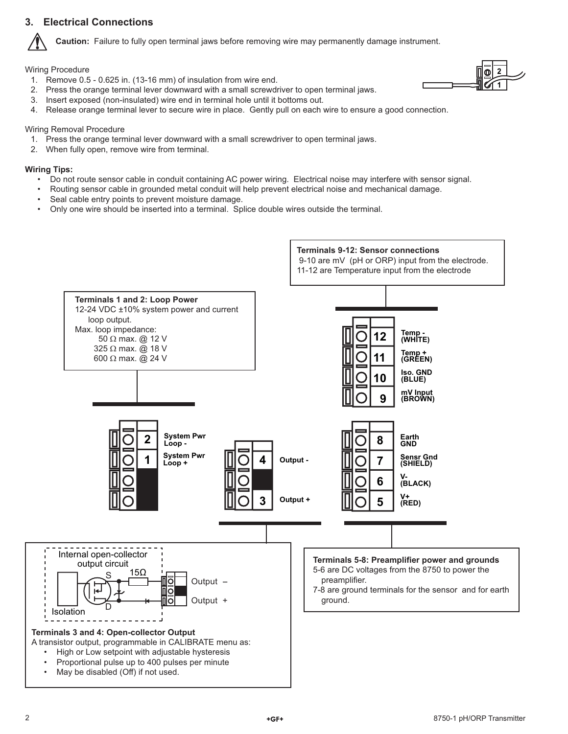### **3. Electrical Connections**



**Caution:** Failure to fully open terminal jaws before removing wire may permanently damage instrument.

Wiring Procedure

1. Remove 0.5 - 0.625 in. (13-16 mm) of insulation from wire end.



- 2. Press the orange terminal lever downward with a small screwdriver to open terminal jaws.
- 3. Insert exposed (non-insulated) wire end in terminal hole until it bottoms out.
- 4. Release orange terminal lever to secure wire in place. Gently pull on each wire to ensure a good connection.

#### Wiring Removal Procedure

- 1. Press the orange terminal lever downward with a small screwdriver to open terminal jaws.
- 2. When fully open, remove wire from terminal.

#### **Wiring Tips:**

- Do not route sensor cable in conduit containing AC power wiring. Electrical noise may interfere with sensor signal.
- Routing sensor cable in grounded metal conduit will help prevent electrical noise and mechanical damage.
- Seal cable entry points to prevent moisture damage.
- Only one wire should be inserted into a terminal. Splice double wires outside the terminal.

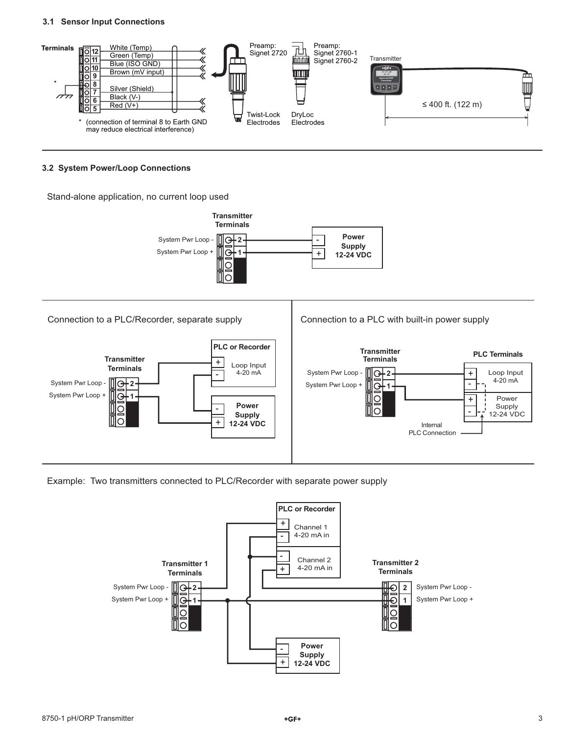#### **3.1 Sensor Input Connections**



#### **3.2 System Power/Loop Connections**

Stand-alone application, no current loop used





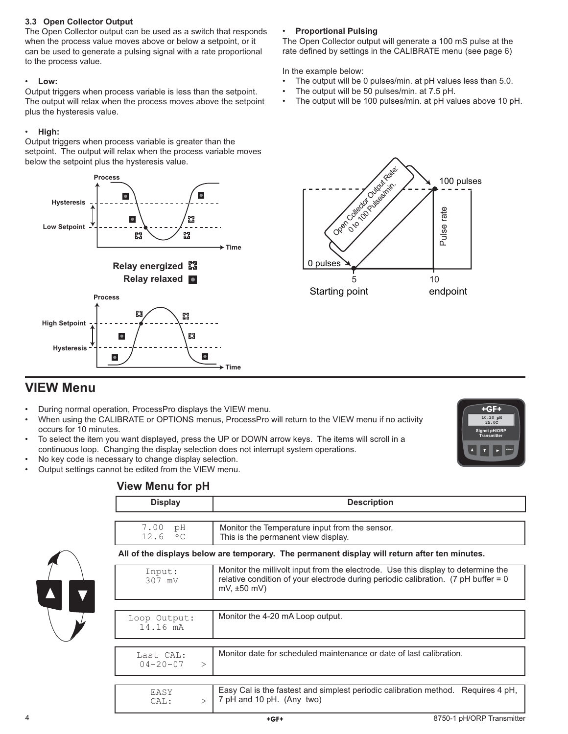#### **3.3 Open Collector Output**

The Open Collector output can be used as a switch that responds when the process value moves above or below a setpoint, or it can be used to generate a pulsing signal with a rate proportional to the process value.

### • **Low:**

Output triggers when process variable is less than the setpoint. The output will relax when the process moves above the setpoint plus the hysteresis value.

### • **High:**

Output triggers when process variable is greater than the setpoint. The output will relax when the process variable moves below the setpoint plus the hysteresis value.



### • **Proportional Pulsing**

The Open Collector output will generate a 100 mS pulse at the rate defined by settings in the CALIBRATE menu (see page 6)

In the example below:

- The output will be 0 pulses/min. at pH values less than 5.0.
- The output will be 50 pulses/min. at 7.5 pH.
- The output will be 100 pulses/min. at pH values above 10 pH.



# **VIEW Menu**

- During normal operation, ProcessPro displays the VIEW menu.
- When using the CALIBRATE or OPTIONS menus, ProcessPro will return to the VIEW menu if no activity occurs for 10 minutes.
- To select the item you want displayed, press the UP or DOWN arrow keys. The items will scroll in a continuous loop. Changing the display selection does not interrupt system operations.
- No key code is necessary to change display selection.
- Output settings cannot be edited from the VIEW menu.

### +GF+ **10.20 pH 25.0C Signet pH/ORP Transmitter ENTER**

### **View Menu for pH**

| <b>Display</b>                                                                                | <b>Description</b>                                                                                                                                                                                       |  |  |
|-----------------------------------------------------------------------------------------------|----------------------------------------------------------------------------------------------------------------------------------------------------------------------------------------------------------|--|--|
|                                                                                               |                                                                                                                                                                                                          |  |  |
| 7.00<br>рH<br>12.6<br>$\circ$ C                                                               | Monitor the Temperature input from the sensor.<br>This is the permanent view display.                                                                                                                    |  |  |
| All of the displays below are temporary. The permanent display will return after ten minutes. |                                                                                                                                                                                                          |  |  |
| Input:<br>307 mV                                                                              | Monitor the millivolt input from the electrode. Use this display to determine the<br>relative condition of your electrode during periodic calibration. $(7 \text{ pH buffer} = 0$<br>$mV$ , $\pm 50$ mV) |  |  |
|                                                                                               |                                                                                                                                                                                                          |  |  |
| Loop Output:<br>14.16 mA                                                                      | Monitor the 4-20 mA Loop output.                                                                                                                                                                         |  |  |
|                                                                                               |                                                                                                                                                                                                          |  |  |
| Last CAL:<br>$04 - 20 - 07$<br>$\geq$                                                         | Monitor date for scheduled maintenance or date of last calibration.                                                                                                                                      |  |  |
|                                                                                               |                                                                                                                                                                                                          |  |  |
| EASY<br>CAL:<br>$\mathbf{L}$                                                                  | Easy Cal is the fastest and simplest periodic calibration method. Requires 4 pH,<br>7 pH and 10 pH. (Any two)                                                                                            |  |  |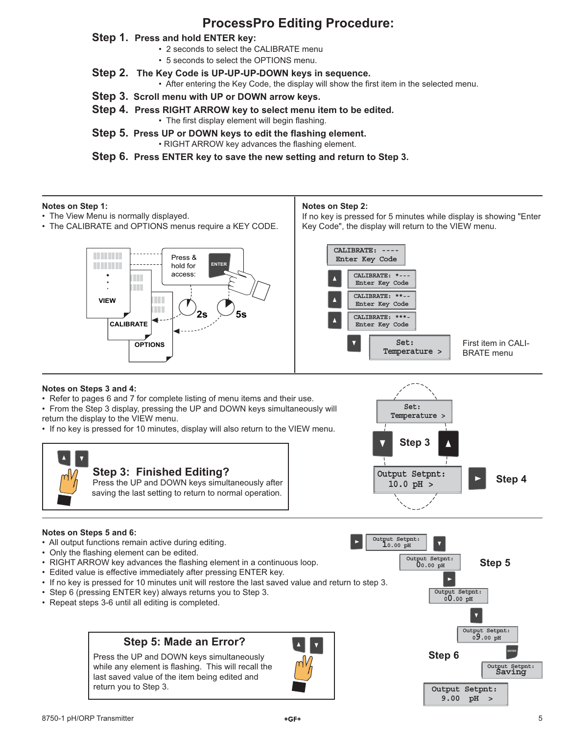# **ProcessPro Editing Procedure:**

### **Step 1. Press and hold ENTER key:**

- 2 seconds to select the CALIBRATE menu
- 5 seconds to select the OPTIONS menu.
- **Step 2. The Key Code is UP-UP-UP-DOWN keys in sequence.**
	- After entering the Key Code, the display will show the first item in the selected menu.
- **Step 3. Scroll menu with UP or DOWN arrow keys.**
- **Step 4. Press RIGHT ARROW key to select menu item to be edited.** • The first display element will begin flashing.
- **Step 5. Press UP or DOWN keys to edit the flashing element.** • RIGHT ARROW key advances the flashing element.

**Step 6. Press ENTER key to save the new setting and return to Step 3.**

#### **Notes on Step 1:**

- The View Menu is normally displayed.
- The CALIBRATE and OPTIONS menus require a KEY CODE.

#### **Notes on Step 2:**

If no key is pressed for 5 minutes while display is showing "Enter Key Code", the display will return to the VIEW menu.



#### **CALIBRATE: ---- Enter Key Code CALIBRATE: \*--- Enter Key Code** CALIBRATE: \*\* **Enter Key Code CALIBRATE: \*\*\*- Enter Key Code Temperature > Set:** First item in CALI-BRATE menu

### **Notes on Steps 3 and 4:**

• Refer to pages 6 and 7 for complete listing of menu items and their use.

• From the Step 3 display, pressing the UP and DOWN keys simultaneously will return the display to the VIEW menu.

• If no key is pressed for 10 minutes, display will also return to the VIEW menu.





#### **Notes on Steps 5 and 6:**

- All output functions remain active during editing.
- Only the flashing element can be edited.
- RIGHT ARROW key advances the flashing element in a continuous loop.
- Edited value is effective immediately after pressing ENTER key.
- If no key is pressed for 10 minutes unit will restore the last saved value and return to step 3.
- Step 6 (pressing ENTER key) always returns you to Step 3.
- Repeat steps 3-6 until all editing is completed.

### **Step 5: Made an Error?**

Press the UP and DOWN keys simultaneously while any element is flashing. This will recall the last saved value of the item being edited and return you to Step 3.



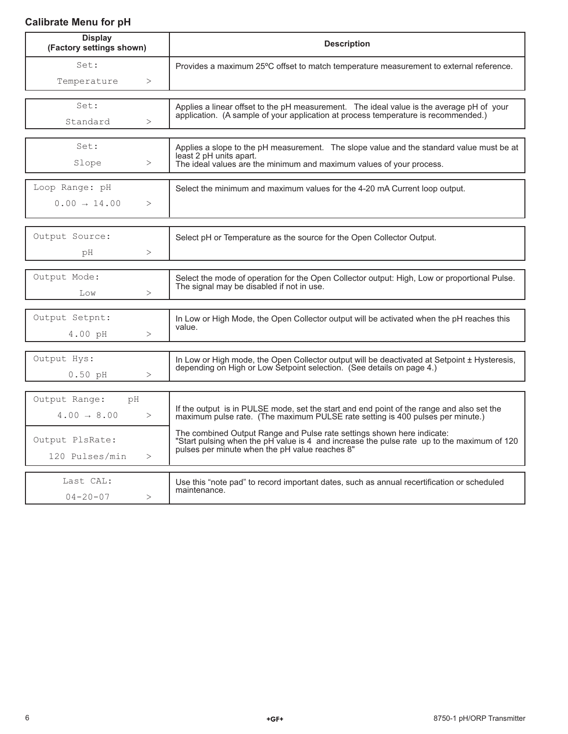### **Calibrate Menu for pH**

| <b>Display</b><br>(Factory settings shown) | <b>Description</b>                                                                                                                                                          |  |
|--------------------------------------------|-----------------------------------------------------------------------------------------------------------------------------------------------------------------------------|--|
| Set:                                       | Provides a maximum 25°C offset to match temperature measurement to external reference.                                                                                      |  |
| Temperature<br>$\,>$                       |                                                                                                                                                                             |  |
| Set:                                       | Applies a linear offset to the pH measurement. The ideal value is the average pH of your                                                                                    |  |
| Standard<br>>                              | application. (A sample of your application at process temperature is recommended.)                                                                                          |  |
|                                            |                                                                                                                                                                             |  |
| Set:                                       | Applies a slope to the pH measurement. The slope value and the standard value must be at                                                                                    |  |
| Slope<br>$\,>$                             | least 2 pH units apart.<br>The ideal values are the minimum and maximum values of your process.                                                                             |  |
| Loop Range: pH                             | Select the minimum and maximum values for the 4-20 mA Current loop output.                                                                                                  |  |
| $0.00 \rightarrow 14.00$<br>$\geq$         |                                                                                                                                                                             |  |
|                                            |                                                                                                                                                                             |  |
| Output Source:                             | Select pH or Temperature as the source for the Open Collector Output.                                                                                                       |  |
| ><br>рH                                    |                                                                                                                                                                             |  |
|                                            |                                                                                                                                                                             |  |
| Output Mode:                               | Select the mode of operation for the Open Collector output: High, Low or proportional Pulse.<br>The signal may be disabled if not in use.                                   |  |
| ><br>Low                                   |                                                                                                                                                                             |  |
| Output Setpnt:                             | In Low or High Mode, the Open Collector output will be activated when the pH reaches this                                                                                   |  |
| $4.00\;$ pH<br>>                           | value.                                                                                                                                                                      |  |
|                                            |                                                                                                                                                                             |  |
| Output Hys:                                | In Low or High mode, the Open Collector output will be deactivated at Setpoint ± Hysteresis,<br>depending on High or Low Setpoint selection. (See details on page 4.)       |  |
| $0.50$ pH<br>>                             |                                                                                                                                                                             |  |
| Output Range:<br>pH                        |                                                                                                                                                                             |  |
| $4.00 \rightarrow 8.00$<br>>               | If the output is in PULSE mode, set the start and end point of the range and also set the<br>maximum pulse rate. (The maximum PULSE rate setting is 400 pulses per minute.) |  |
|                                            | The combined Output Range and Pulse rate settings shown here indicate:                                                                                                      |  |
| Output PlsRate:                            | "Start pulsing when the pH value is 4 and increase the pulse rate up to the maximum of 120<br>pulses per minute when the pH value reaches 8"                                |  |
| 120 Pulses/min<br>>                        |                                                                                                                                                                             |  |
| Last CAL:                                  | Use this "note pad" to record important dates, such as annual recertification or scheduled                                                                                  |  |
| $04 - 20 - 07$<br>>                        | maintenance.                                                                                                                                                                |  |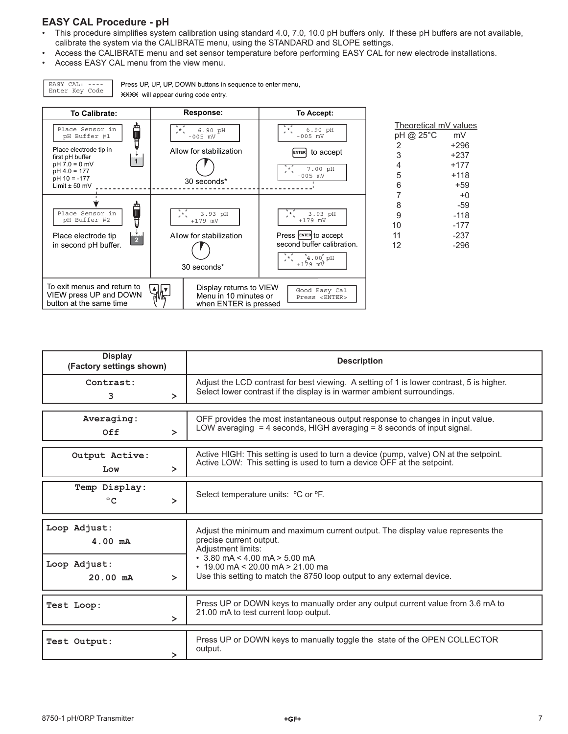### **EASY CAL Procedure - pH**

EASY CAL: ---- Enter Key Code

- This procedure simplifies system calibration using standard 4.0, 7.0, 10.0 pH buffers only. If these pH buffers are not available, calibrate the system via the CALIBRATE menu, using the STANDARD and SLOPE settings.
- Access the CALIBRATE menu and set sensor temperature before performing EASY CAL for new electrode installations.

Press UP, UP, UP, DOWN buttons in sequence to enter menu,

XXXX will appear during code entry.

• Access EASY CAL menu from the view menu.

| To Calibrate:                                                                                                                                                    | Response:                                                                        | To Accept:                                                                                                                |                                                             |                                                       |
|------------------------------------------------------------------------------------------------------------------------------------------------------------------|----------------------------------------------------------------------------------|---------------------------------------------------------------------------------------------------------------------------|-------------------------------------------------------------|-------------------------------------------------------|
| ĥ<br>Place Sensor in<br>pH Buffer #1<br>A<br>Place electrode tip in<br>first pH buffer<br>$pH 7.0 = 0$ mV<br>$pH 4.0 = 177$<br>$pH$ 10 = -177<br>Limit $± 50$ mV | 6.90 pH<br>$^{\star}$ .<br>$-005$ mV<br>Allow for stabilization<br>30 seconds*   | 6.90 pH<br>J*.<br>$-005$ mV<br>to accept<br><b>ENTER</b><br>7.00 pH<br>$-005$ mV                                          | Theoretical mV values<br>pH @ 25°C<br>2<br>3<br>4<br>5<br>6 | mV<br>$+296$<br>$+237$<br>$+177$<br>$+118$<br>$+59$   |
| Place Sensor in<br>pH Buffer #2<br>Place electrode tip<br>é.<br>in second pH buffer.                                                                             | F.<br>3.93 pH<br>$+179$ mV<br>Allow for stabilization<br>30 seconds*             | 3.93 pH<br>$, *$<br>$+179$ mV<br>Press ENTER to accept<br>second buffer calibration.<br>$4.00^{^{\circ}}$ pH<br>$+179$ mV | 8<br>9<br>10<br>11<br>12                                    | $+0$<br>$-59$<br>$-118$<br>$-177$<br>$-237$<br>$-296$ |
| To exit menus and return to<br>VIEW press UP and DOWN<br>button at the same time                                                                                 | Display returns to VIEW<br>╣╠┙<br>Menu in 10 minutes or<br>when ENTER is pressed | Good Easy Cal<br>Press <enter></enter>                                                                                    |                                                             |                                                       |

| <b>Display</b><br>(Factory settings shown) |        | <b>Description</b>                                                                                                                                                                                                                                                                          |  |
|--------------------------------------------|--------|---------------------------------------------------------------------------------------------------------------------------------------------------------------------------------------------------------------------------------------------------------------------------------------------|--|
| Contrast:<br>3                             | $\geq$ | Adjust the LCD contrast for best viewing. A setting of 1 is lower contrast, 5 is higher.<br>Select lower contrast if the display is in warmer ambient surroundings.                                                                                                                         |  |
| Averaging:<br>Off                          | $\geq$ | OFF provides the most instantaneous output response to changes in input value.<br>LOW averaging $=$ 4 seconds, HIGH averaging $=$ 8 seconds of input signal.                                                                                                                                |  |
| Output Active:<br>Low                      | ゝ      | Active HIGH: This setting is used to turn a device (pump, valve) ON at the setpoint.<br>Active LOW: This setting is used to turn a device OFF at the setpoint.                                                                                                                              |  |
| Temp Display:<br>$^{\circ}$ C              | $\geq$ | Select temperature units: <sup>o</sup> C or <sup>o</sup> F.                                                                                                                                                                                                                                 |  |
| Loop Adjust:<br>$4.00 \text{ mA}$          |        | Adjust the minimum and maximum current output. The display value represents the<br>precise current output.<br>Adjustment limits:<br>$\cdot$ 3.80 mA < 4.00 mA > 5.00 mA<br>$\cdot$ 19.00 mA < 20.00 mA > 21.00 ma<br>Use this setting to match the 8750 loop output to any external device. |  |
| Loop Adjust:<br>$20.00$ mA                 | ≻      |                                                                                                                                                                                                                                                                                             |  |
| Test Loop:                                 | $\geq$ | Press UP or DOWN keys to manually order any output current value from 3.6 mA to<br>21.00 mA to test current loop output.                                                                                                                                                                    |  |
| Test Output:                               | >      | Press UP or DOWN keys to manually toggle the state of the OPEN COLLECTOR<br>output.                                                                                                                                                                                                         |  |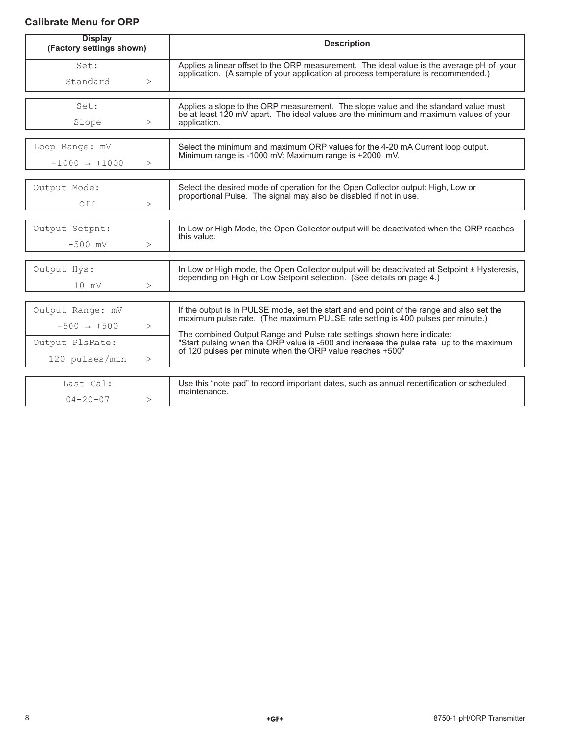### **Calibrate Menu for ORP**

| <b>Display</b><br>(Factory settings shown) |        | <b>Description</b>                                                                                                                                                                                                             |  |
|--------------------------------------------|--------|--------------------------------------------------------------------------------------------------------------------------------------------------------------------------------------------------------------------------------|--|
| Set:                                       |        | Applies a linear offset to the ORP measurement. The ideal value is the average pH of your<br>application. (A sample of your application at process temperature is recommended.)                                                |  |
| Standard                                   | >      |                                                                                                                                                                                                                                |  |
| Set:                                       |        | Applies a slope to the ORP measurement. The slope value and the standard value must                                                                                                                                            |  |
| Slope                                      | >      | be at least 120 mV apart. The ideal values are the minimum and maximum values of your<br>application.                                                                                                                          |  |
|                                            |        |                                                                                                                                                                                                                                |  |
| Loop Range: mV                             |        | Select the minimum and maximum ORP values for the 4-20 mA Current loop output.<br>Minimum range is -1000 mV; Maximum range is +2000 mV.                                                                                        |  |
| $-1000 \rightarrow +1000$                  | $\geq$ |                                                                                                                                                                                                                                |  |
| Output Mode:                               |        | Select the desired mode of operation for the Open Collector output: High, Low or                                                                                                                                               |  |
| Off                                        | >      | proportional Pulse. The signal may also be disabled if not in use.                                                                                                                                                             |  |
|                                            |        |                                                                                                                                                                                                                                |  |
| Output Setpnt:                             |        | In Low or High Mode, the Open Collector output will be deactivated when the ORP reaches<br>this value.                                                                                                                         |  |
| $-500$ mV                                  | $\geq$ |                                                                                                                                                                                                                                |  |
| Output Hys:                                |        | In Low or High mode, the Open Collector output will be deactivated at Setpoint ± Hysteresis,                                                                                                                                   |  |
| $10 \text{ mV}$                            | >      | depending on High or Low Setpoint selection. (See details on page 4.)                                                                                                                                                          |  |
|                                            |        |                                                                                                                                                                                                                                |  |
| Output Range: mV                           |        | If the output is in PULSE mode, set the start and end point of the range and also set the<br>maximum pulse rate. (The maximum PULSE rate setting is 400 pulses per minute.)                                                    |  |
| $-500 \rightarrow +500$                    | $\,>$  |                                                                                                                                                                                                                                |  |
| Output PlsRate:                            |        | The combined Output Range and Pulse rate settings shown here indicate:<br>"Start pulsing when the ORP value is -500 and increase the pulse rate up to the maximum<br>of 120 pulses per minute when the ORP value reaches +500" |  |
| 120 pulses/min                             | >      |                                                                                                                                                                                                                                |  |
| Last Cal:                                  |        |                                                                                                                                                                                                                                |  |
|                                            |        | Use this "note pad" to record important dates, such as annual recertification or scheduled<br>maintenance.                                                                                                                     |  |
| $04 - 20 - 07$                             | >      |                                                                                                                                                                                                                                |  |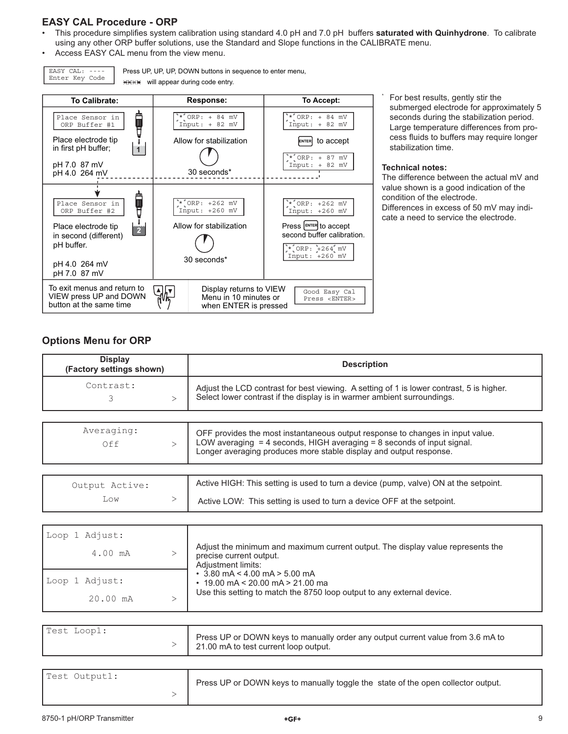### **EASY CAL Procedure - ORP**

- This procedure simplifies system calibration using standard 4.0 pH and 7.0 pH buffers saturated with Quinhydrone. To calibrate using any other ORP buffer solutions, use the Standard and Slope functions in the CALIBRATE menu.
- Access EASY CAL menu from the view menu.

EASY CAL: ---- Enter Key Code

Press UP, UP, UP, DOWN buttons in sequence to enter menu, **WHIRE** will appear during code entry.



 For best results, gently stir the submerged electrode for approximately 5 seconds during the stabilization period. Large temperature differences from process fluids to buffers may require longer stabilization time.

#### **Technical notes:**

\*

The difference between the actual mV and value shown is a good indication of the condition of the electrode. Differences in excess of 50 mV may indicate a need to service the electrode.

### **Options Menu for ORP**

| <b>Display</b><br>(Factory settings shown) | <b>Description</b>                                                                                                                                                  |  |
|--------------------------------------------|---------------------------------------------------------------------------------------------------------------------------------------------------------------------|--|
| Contrast:                                  | Adjust the LCD contrast for best viewing. A setting of 1 is lower contrast, 5 is higher.<br>Select lower contrast if the display is in warmer ambient surroundings. |  |

| Averaging:<br>Off     | OFF provides the most instantaneous output response to changes in input value.<br>LOW averaging $=$ 4 seconds, HIGH averaging $=$ 8 seconds of input signal.<br>Longer averaging produces more stable display and output response. |
|-----------------------|------------------------------------------------------------------------------------------------------------------------------------------------------------------------------------------------------------------------------------|
| Output Active:<br>Low | Active HIGH: This setting is used to turn a device (pump, valve) ON at the setpoint.<br>Active LOW: This setting is used to turn a device OFF at the setpoint.                                                                     |

| Loop 1 Adjust: |                                                                                                                                                         |
|----------------|---------------------------------------------------------------------------------------------------------------------------------------------------------|
| 4.00 mA        | Adjust the minimum and maximum current output. The display value represents the<br>precise current output.<br>Adjustment limits:                        |
| Loop 1 Adjust: | $\cdot$ 3.80 mA < 4.00 mA > 5.00 mA<br>$\cdot$ 19.00 mA < 20.00 mA > 21.00 ma<br>Use this setting to match the 8750 loop output to any external device. |
| 20.00 mA       |                                                                                                                                                         |

| Test Loop1: | Press UP or DOWN keys to manually order any output current value from 3.6 mA to<br>21.00 mA to test current loop output. |
|-------------|--------------------------------------------------------------------------------------------------------------------------|
|-------------|--------------------------------------------------------------------------------------------------------------------------|

| Test Output1: | Press UP or DOWN keys to manually toggle the state of the open collector output. |
|---------------|----------------------------------------------------------------------------------|
|               |                                                                                  |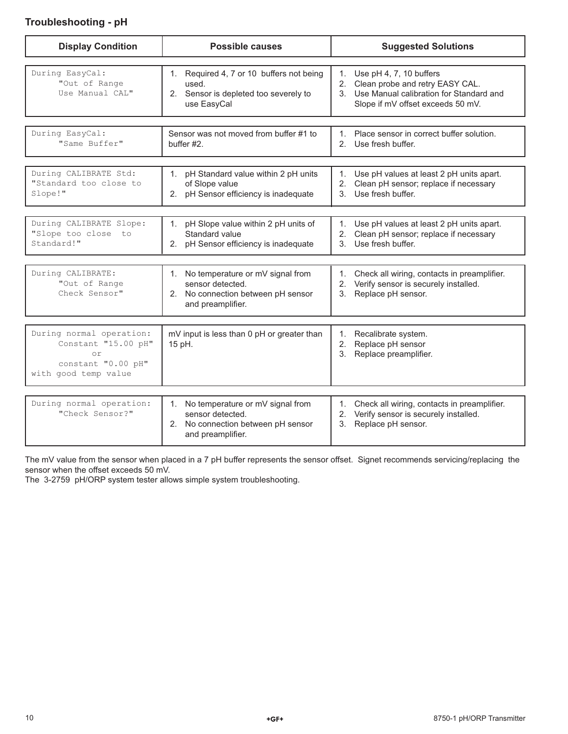### **Troubleshooting - pH**

| <b>Display Condition</b>                                                                            | <b>Possible causes</b>                                                                                                | <b>Suggested Solutions</b>                                                                                                                                |
|-----------------------------------------------------------------------------------------------------|-----------------------------------------------------------------------------------------------------------------------|-----------------------------------------------------------------------------------------------------------------------------------------------------------|
| During EasyCal:<br>"Out of Range<br>Use Manual CAL"                                                 | 1. Required 4, 7 or 10 buffers not being<br>used.<br>2. Sensor is depleted too severely to<br>use EasyCal             | 1.<br>Use pH 4, 7, 10 buffers<br>2.<br>Clean probe and retry EASY CAL.<br>3. Use Manual calibration for Standard and<br>Slope if mV offset exceeds 50 mV. |
| During EasyCal:<br>"Same Buffer"                                                                    | Sensor was not moved from buffer #1 to<br>buffer #2.                                                                  | 1. Place sensor in correct buffer solution.<br>2. Use fresh buffer.                                                                                       |
| During CALIBRATE Std:<br>"Standard too close to<br>Slope!"                                          | pH Standard value within 2 pH units<br>1.<br>of Slope value<br>2. pH Sensor efficiency is inadequate                  | Use pH values at least 2 pH units apart.<br>1.<br>Clean pH sensor; replace if necessary<br>2.<br>Use fresh buffer.<br>$\mathbf{3}$                        |
| During CALIBRATE Slope:<br>"Slope too close<br>to<br>Standard!"                                     | pH Slope value within 2 pH units of<br>1.<br>Standard value<br>2. pH Sensor efficiency is inadequate                  | Use pH values at least 2 pH units apart.<br>1.<br>Clean pH sensor; replace if necessary<br>2.<br>Use fresh buffer.<br>$\mathcal{S}$                       |
| During CALIBRATE:<br>"Out of Range<br>Check Sensor"                                                 | No temperature or mV signal from<br>1.<br>sensor detected.<br>2. No connection between pH sensor<br>and preamplifier. | 1. Check all wiring, contacts in preamplifier.<br>2. Verify sensor is securely installed.<br>3. Replace pH sensor.                                        |
| During normal operation:<br>Constant "15.00 pH"<br>or<br>constant "0.00 pH"<br>with good temp value | mV input is less than 0 pH or greater than<br>15 pH.                                                                  | 1. Recalibrate system.<br>2.<br>Replace pH sensor<br>3.<br>Replace preamplifier.                                                                          |
| During normal operation:<br>"Check Sensor?"                                                         | 1. No temperature or mV signal from<br>sensor detected.<br>2. No connection between pH sensor<br>and preamplifier.    | Check all wiring, contacts in preamplifier.<br>1.<br>2. Verify sensor is securely installed.<br>Replace pH sensor.<br>3.                                  |

The mV value from the sensor when placed in a 7 pH buffer represents the sensor offset. Signet recommends servicing/replacing the sensor when the offset exceeds 50 mV.

The 3-2759 pH/ORP system tester allows simple system troubleshooting.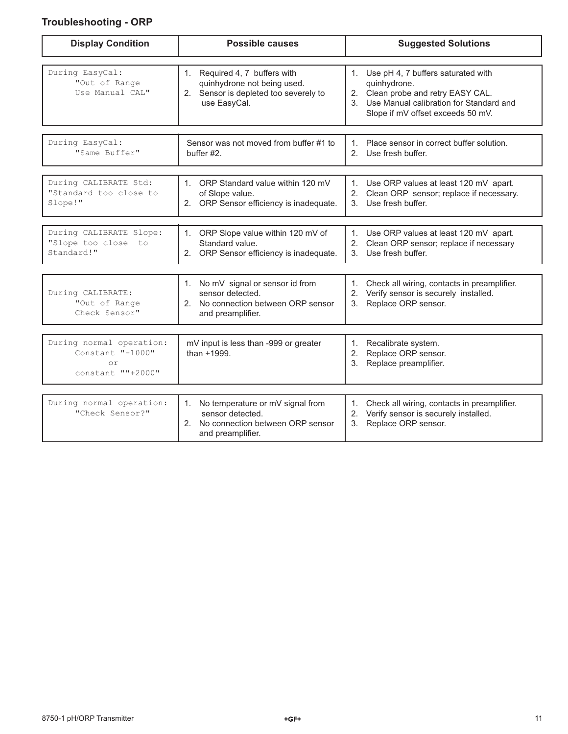## **Troubleshooting - ORP**

| <b>Display Condition</b>                                                       | <b>Possible causes</b>                                                                                                | <b>Suggested Solutions</b>                                                                                                                                                        |
|--------------------------------------------------------------------------------|-----------------------------------------------------------------------------------------------------------------------|-----------------------------------------------------------------------------------------------------------------------------------------------------------------------------------|
| During EasyCal:<br>"Out of Range<br>Use Manual CAL"                            | 1. Required 4, 7 buffers with<br>quinhydrone not being used.<br>2. Sensor is depleted too severely to<br>use EasyCal. | 1.<br>Use pH 4, 7 buffers saturated with<br>quinhydrone.<br>2. Clean probe and retry EASY CAL.<br>3. Use Manual calibration for Standard and<br>Slope if mV offset exceeds 50 mV. |
| During EasyCal:<br>"Same Buffer"                                               | Sensor was not moved from buffer #1 to<br>buffer #2.                                                                  | Place sensor in correct buffer solution.<br>1<br>2. Use fresh buffer.                                                                                                             |
| During CALIBRATE Std:<br>"Standard too close to<br>Slope!"                     | 1. ORP Standard value within 120 mV<br>of Slope value.<br>2. ORP Sensor efficiency is inadequate.                     | 1. Use ORP values at least 120 mV apart.<br>2. Clean ORP sensor; replace if necessary.<br>3. Use fresh buffer.                                                                    |
| During CALIBRATE Slope:<br>"Slope too close to<br>Standard!"                   | ORP Slope value within 120 mV of<br>1.<br>Standard value.<br>2. ORP Sensor efficiency is inadequate.                  | 1. Use ORP values at least 120 mV apart.<br>2. Clean ORP sensor; replace if necessary<br>Use fresh buffer.<br>3 <sub>1</sub>                                                      |
| During CALIBRATE:<br>"Out of Range<br>Check Sensor"                            | 1. No mV signal or sensor id from<br>sensor detected.<br>2. No connection between ORP sensor<br>and preamplifier.     | 1. Check all wiring, contacts in preamplifier.<br>2. Verify sensor is securely installed.<br>Replace ORP sensor.<br>3.                                                            |
| During normal operation:<br>Constant "-1000"<br>$\circ$ r<br>constant ""+2000" | mV input is less than -999 or greater<br>than +1999.                                                                  | Recalibrate system.<br>1.<br>Replace ORP sensor.<br>2.<br>Replace preamplifier.<br>3.                                                                                             |
| During normal operation:<br>"Check Sensor?"                                    | No temperature or mV signal from<br>sensor detected.<br>2. No connection between ORP sensor<br>and preamplifier.      | Check all wiring, contacts in preamplifier.<br>1.<br>2. Verify sensor is securely installed.<br>Replace ORP sensor.<br>3.                                                         |